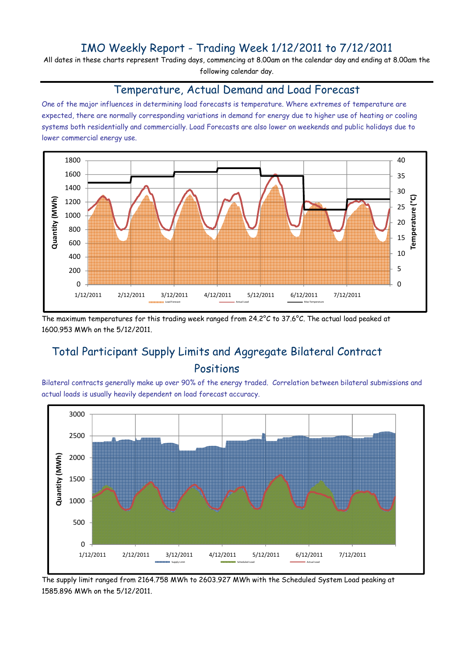# IMO Weekly Report - Trading Week 1/12/2011 to 7/12/2011

All dates in these charts represent Trading days, commencing at 8.00am on the calendar day and ending at 8.00am the following calendar day.

#### Temperature, Actual Demand and Load Forecast

One of the major influences in determining load forecasts is temperature. Where extremes of temperature are expected, there are normally corresponding variations in demand for energy due to higher use of heating or cooling systems both residentially and commercially. Load Forecasts are also lower on weekends and public holidays due to lower commercial energy use.



The maximum temperatures for this trading week ranged from 24.2°C to 37.6°C. The actual load peaked at 1600.953 MWh on the 5/12/2011.

# Total Participant Supply Limits and Aggregate Bilateral Contract Positions

Bilateral contracts generally make up over 90% of the energy traded. Correlation between bilateral submissions and actual loads is usually heavily dependent on load forecast accuracy.



The supply limit ranged from 2164.758 MWh to 2603.927 MWh with the Scheduled System Load peaking at 1585.896 MWh on the 5/12/2011.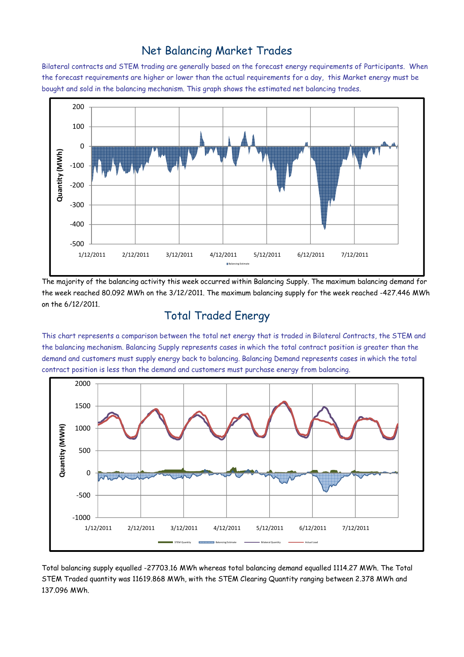### Net Balancing Market Trades

Bilateral contracts and STEM trading are generally based on the forecast energy requirements of Participants. When the forecast requirements are higher or lower than the actual requirements for a day, this Market energy must be bought and sold in the balancing mechanism. This graph shows the estimated net balancing trades.



The majority of the balancing activity this week occurred within Balancing Supply. The maximum balancing demand for the week reached 80.092 MWh on the 3/12/2011. The maximum balancing supply for the week reached -427.446 MWh on the 6/12/2011.

# Total Traded Energy

This chart represents a comparison between the total net energy that is traded in Bilateral Contracts, the STEM and the balancing mechanism. Balancing Supply represents cases in which the total contract position is greater than the demand and customers must supply energy back to balancing. Balancing Demand represents cases in which the total contract position is less than the demand and customers must purchase energy from balancing.



Total balancing supply equalled -27703.16 MWh whereas total balancing demand equalled 1114.27 MWh. The Total STEM Traded quantity was 11619.868 MWh, with the STEM Clearing Quantity ranging between 2.378 MWh and 137.096 MWh.